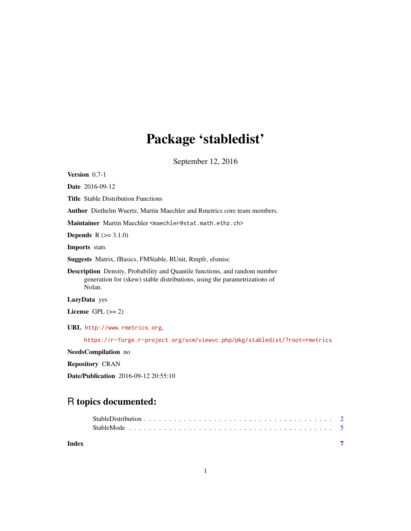## Package 'stabledist'

September 12, 2016

<span id="page-0-0"></span>Version 0.7-1

Date 2016-09-12

Title Stable Distribution Functions

Author Diethelm Wuertz, Martin Maechler and Rmetrics core team members.

Maintainer Martin Maechler <maechler@stat.math.ethz.ch>

**Depends**  $R (= 3.1.0)$ 

Imports stats

Suggests Matrix, fBasics, FMStable, RUnit, Rmpfr, sfsmisc

Description Density, Probability and Quantile functions, and random number generation for (skew) stable distributions, using the parametrizations of Nolan.

LazyData yes

License GPL  $(>= 2)$ 

URL <http://www.rmetrics.org>,

<https://r-forge.r-project.org/scm/viewvc.php/pkg/stabledist/?root=rmetrics>

NeedsCompilation no

Repository CRAN

Date/Publication 2016-09-12 20:55:10

### R topics documented:

| Index |  |
|-------|--|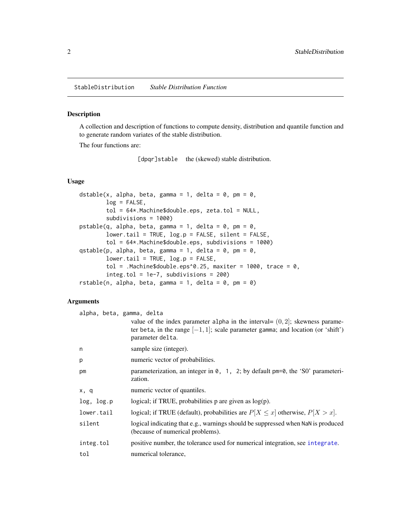#### <span id="page-1-2"></span><span id="page-1-1"></span><span id="page-1-0"></span>Description

A collection and description of functions to compute density, distribution and quantile function and to generate random variates of the stable distribution.

The four functions are:

[dpqr]stable the (skewed) stable distribution.

#### Usage

```
dstable(x, alpha, beta, gamma = 1, delta = 0, pm = 0,
       log = FALSE,
       tol = 64*.Machine$double.eps, zeta.tol = NULL,
       subdivisions = 1000)
pstable(q, alpha, beta, gamma = 1, delta = 0, pm = 0,lower.tail = TRUE, log.p = FALSE, silent = FALSE,
       tol = 64*.Machine$double.eps, subdivisions = 1000)
qstable(p, alpha, beta, gamma = 1, delta = 0, pm = 0,
       lower.tail = TRUE, log.p = FALSE,tol = .Machine$double.eps^0.25, maxiter = 1000, trace = 0,
       integ.tol = 1e-7, subdivisions = 200)
rstable(n, alpha, beta, gamma = 1, delta = 0, pm = 0)
```
#### Arguments

| alpha, beta, gamma, delta |                                                                                                                                                                                            |
|---------------------------|--------------------------------------------------------------------------------------------------------------------------------------------------------------------------------------------|
|                           | value of the index parameter alpha in the interval= $(0, 2]$ ; skewness parame-<br>ter beta, in the range $[-1, 1]$ ; scale parameter gamma; and location (or 'shift')<br>parameter delta. |
| n                         | sample size (integer).                                                                                                                                                                     |
| p                         | numeric vector of probabilities.                                                                                                                                                           |
| pm                        | parameterization, an integer in $\theta$ , 1, 2; by default pm=0, the 'SO' parameteri-<br>zation.                                                                                          |
| x, q                      | numeric vector of quantiles.                                                                                                                                                               |
| log, log.p                | logical; if TRUE, probabilities $p$ are given as $log(p)$ .                                                                                                                                |
| lower.tail                | logical; if TRUE (default), probabilities are $P[X \le x]$ otherwise, $P[X > x]$ .                                                                                                         |
| silent                    | logical indicating that e.g., warnings should be suppressed when NaN is produced<br>(because of numerical problems).                                                                       |
| integ.tol                 | positive number, the tolerance used for numerical integration, see integrate.                                                                                                              |
| tol                       | numerical tolerance,                                                                                                                                                                       |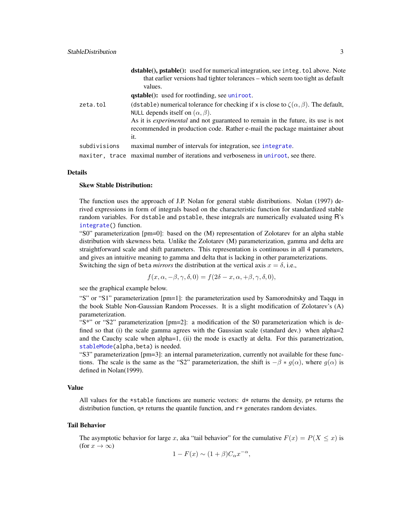<span id="page-2-0"></span>

|              | <b>dstable(), pstable():</b> used for numerical integration, see integ. tol above. Note<br>that earlier versions had tighter tolerances – which seem too tight as default<br>values.<br><b>qstable():</b> used for rootfinding, see uniroot.                                                                                    |
|--------------|---------------------------------------------------------------------------------------------------------------------------------------------------------------------------------------------------------------------------------------------------------------------------------------------------------------------------------|
| zeta.tol     | (dstable) numerical tolerance for checking if x is close to $\zeta(\alpha, \beta)$ . The default,<br>NULL depends itself on $(\alpha, \beta)$ .<br>As it is <i>experimental</i> and not guaranteed to remain in the future, its use is not<br>recommended in production code. Rather e-mail the package maintainer about<br>it. |
| subdivisions | maximal number of intervals for integration, see integrate.                                                                                                                                                                                                                                                                     |
|              | maxiter, trace maximal number of iterations and verboseness in uniroot, see there.                                                                                                                                                                                                                                              |

#### Details

#### Skew Stable Distribution:

The function uses the approach of J.P. Nolan for general stable distributions. Nolan (1997) derived expressions in form of integrals based on the characteristic function for standardized stable random variables. For dstable and pstable, these integrals are numerically evaluated using R's [integrate\(](#page-0-0)) function.

"S0" parameterization [pm=0]: based on the (M) representation of Zolotarev for an alpha stable distribution with skewness beta. Unlike the Zolotarev (M) parameterization, gamma and delta are straightforward scale and shift parameters. This representation is continuous in all 4 parameters, and gives an intuitive meaning to gamma and delta that is lacking in other parameterizations. Switching the sign of beta *mirrors* the distribution at the vertical axis  $x = \delta$ , i.e.,

$$
f(x, \alpha, -\beta, \gamma, \delta, 0) = f(2\delta - x, \alpha, +\beta, \gamma, \delta, 0),
$$

see the graphical example below.

"S" or "S1" parameterization [pm=1]: the parameterization used by Samorodnitsky and Taqqu in the book Stable Non-Gaussian Random Processes. It is a slight modification of Zolotarev's (A) parameterization.

"S\*" or "S2" parameterization [pm=2]: a modification of the S0 parameterization which is defined so that (i) the scale gamma agrees with the Gaussian scale (standard dev.) when alpha= $2$ and the Cauchy scale when alpha=1, (ii) the mode is exactly at delta. For this parametrization, [stableMode\(](#page-4-1)alpha,beta) is needed.

"S3" parameterization [pm=3]: an internal parameterization, currently not available for these functions. The scale is the same as the "S2" parameterization, the shift is  $-\beta * g(\alpha)$ , where  $g(\alpha)$  is defined in Nolan(1999).

#### Value

All values for the \*stable functions are numeric vectors:  $d*$  returns the density,  $p*$  returns the distribution function,  $q*$  returns the quantile function, and  $r*$  generates random deviates.

#### Tail Behavior

The asymptotic behavior for large x, aka "tail behavior" for the cumulative  $F(x) = P(X \leq x)$  is (for  $x \to \infty$ )

$$
1 - F(x) \sim (1 + \beta)C_{\alpha}x^{-\alpha},
$$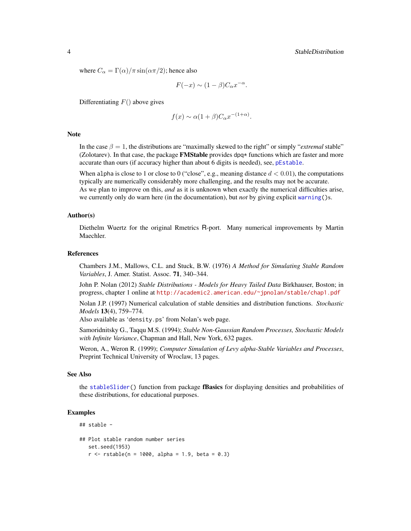<span id="page-3-0"></span>where  $C_{\alpha} = \Gamma(\alpha)/\pi \sin(\alpha \pi/2)$ ; hence also

$$
F(-x) \sim (1 - \beta)C_{\alpha}x^{-\alpha}.
$$

Differentiating  $F()$  above gives

$$
f(x) \sim \alpha (1+\beta) C_{\alpha} x^{-(1+\alpha)}.
$$

#### **Note**

In the case  $\beta = 1$ , the distributions are "maximally skewed to the right" or simply "*extremal* stable" (Zolotarev). In that case, the package **FMStable** provides dpq $*$  functions which are faster and more accurate than ours (if accuracy higher than about 6 digits is needed), see, [pEstable](#page-0-0).

When alpha is close to 1 or close to 0 ("close", e.g., meaning distance  $d < 0.01$ ), the computations typically are numerically considerably more challenging, and the results may not be accurate. As we plan to improve on this, *and* as it is unknown when exactly the numerical difficulties arise, we currently only do warn here (in the documentation), but *not* by giving explicit [warning\(](#page-0-0))s.

#### Author(s)

Diethelm Wuertz for the original Rmetrics R-port. Many numerical improvements by Martin Maechler.

#### References

Chambers J.M., Mallows, C.L. and Stuck, B.W. (1976) *A Method for Simulating Stable Random Variables*, J. Amer. Statist. Assoc. 71, 340–344.

John P. Nolan (2012) *Stable Distributions - Models for Heavy Tailed Data* Birkhauser, Boston; in progress, chapter 1 online at <http://academic2.american.edu/~jpnolan/stable/chap1.pdf>

Nolan J.P. (1997) Numerical calculation of stable densities and distribution functions. *Stochastic Models* 13(4), 759–774.

Also available as 'density.ps' from Nolan's web page.

Samoridnitsky G., Taqqu M.S. (1994); *Stable Non-Gaussian Random Processes, Stochastic Models with Infinite Variance*, Chapman and Hall, New York, 632 pages.

Weron, A., Weron R. (1999); *Computer Simulation of Levy alpha-Stable Variables and Processes*, Preprint Technical University of Wroclaw, 13 pages.

#### See Also

the [stableSlider\(](#page-0-0)) function from package fBasics for displaying densities and probabilities of these distributions, for educational purposes.

#### Examples

```
## stable -
## Plot stable random number series
  set.seed(1953)
  r <- rstable(n = 1000, alpha = 1.9, beta = 0.3)
```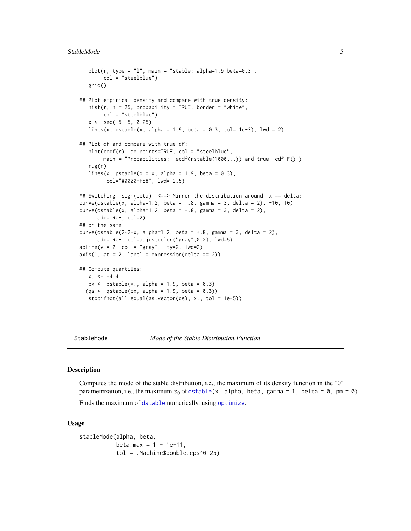#### <span id="page-4-0"></span>StableMode 5

```
plot(r, type = "l", main = "stable: alpha=1.9 beta=0.3",
       col = "steelblue")
  grid()
## Plot empirical density and compare with true density:
  hist(r, n = 25, probability = TRUE, border = "white",
       col = "steelblue")
  x \le - seq(-5, 5, 0.25)
  lines(x, dstable(x, alpha = 1.9, beta = 0.3, tol= 1e-3), lwd = 2)
## Plot df and compare with true df:
  plot(ecdf(r), do.points=TRUE, col = "steelblue",
       main = "Probabilities: ecdf(rstable(1000,..)) and true cdf F()")
   rug(r)
  lines(x, pstable(q = x, alpha = 1.9, beta = 0.3),
         col="#0000FF88", lwd= 2.5)
## Switching sign(beta) <==> Mirror the distribution around x == delta:
curve(dstable(x, alpha=1.2, beta = .8, gamma = 3, delta = 2), -10, 10)
curve(dstable(x, alpha=1.2, beta = -0.8, gamma = 3, delta = 2),
      add=TRUE, col=2)
## or the same
curve(dstable(2*2-x, alpha=1.2, beta = +.8, gamma = 3, delta = 2),
     add=TRUE, col=adjustcolor("gray",0.2), lwd=5)
abline(v = 2, col = "gray", lty=2, lwd=2)axis(1, at = 2, label = expression(delta == 2))## Compute quantiles:
  x. < -4:4px \leftarrow pstable(x., alpha = 1.9, beta = 0.3)(qs \leq qstable(px, alpha = 1.9, beta = 0.3))stopifnot(all.equal(as.vector(qs), x., tol = 1e-5))
```
StableMode *Mode of the Stable Distribution Function*

#### <span id="page-4-1"></span>**Description**

Computes the mode of the stable distribution, i.e., the maximum of its density function in the "0" parametrization, i.e., the maximum  $x_0$  of [dstable\(](#page-1-1)x, alpha, beta, gamma = 1, delta = 0, pm = 0).

Finds the maximum of [dstable](#page-1-1) numerically, using [optimize](#page-0-0).

#### Usage

```
stableMode(alpha, beta,
          beta.max = 1 - 1e-11,
           tol = .Machine$double.eps^0.25)
```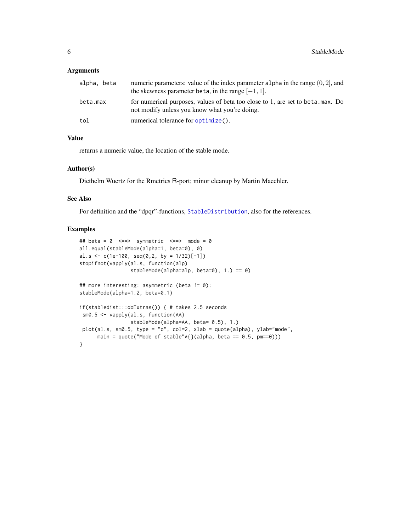#### <span id="page-5-0"></span>Arguments

| alpha, beta | numeric parameters: value of the index parameter alpha in the range $(0, 2)$ , and<br>the skewness parameter beta, in the range $[-1, 1]$ . |
|-------------|---------------------------------------------------------------------------------------------------------------------------------------------|
| beta.max    | for numerical purposes, values of beta too close to 1, are set to beta max. Do<br>not modify unless you know what you're doing.             |
| tol         | numerical tolerance for optimize().                                                                                                         |

#### Value

returns a numeric value, the location of the stable mode.

#### Author(s)

Diethelm Wuertz for the Rmetrics R-port; minor cleanup by Martin Maechler.

#### See Also

For definition and the "dpqr"-functions, [StableDistribution](#page-1-2), also for the references.

#### Examples

```
## beta = 0 \leq z \leq 5 symmetric \leq z \leq 5 mode = 0
all.equal(stableMode(alpha=1, beta=0), 0)
al.s <- c(1e-100, seq(0, 2, by = 1/32)[-1])stopifnot(vapply(al.s, function(alp)
                 stableMode(alpha=alp, beta=0), 1.) == 0)
## more interesting: asymmetric (beta != 0):
stableMode(alpha=1.2, beta=0.1)
if(stabledist:::doExtras()) { # takes 2.5 seconds
 sm0.5 <- vapply(al.s, function(AA)
                 stableMode(alpha=AA, beta= 0.5), 1.)
 plot(al.s, sm0.5, type = "o", col=2, xlab = quote(alpha), ylab="mode",
      main = quote("Mode of stable"*{}(alpha, beta == (0.5, pm==0)))
}
```